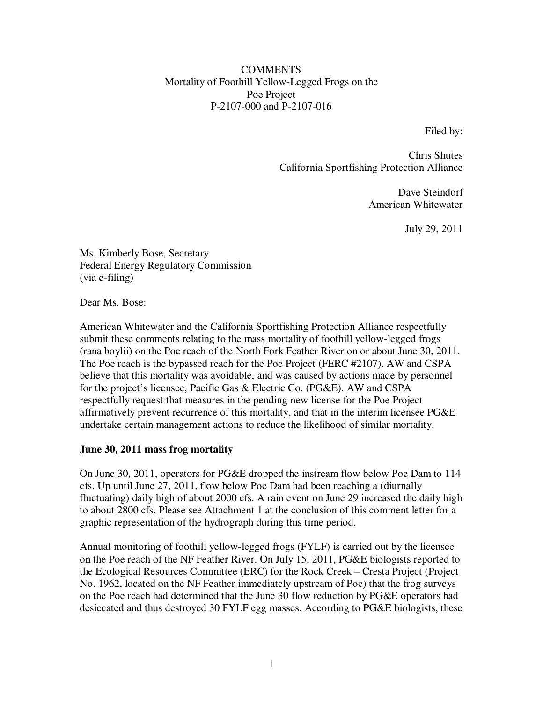#### **COMMENTS** Mortality of Foothill Yellow-Legged Frogs on the Poe Project P-2107-000 and P-2107-016

Filed by:

Chris Shutes California Sportfishing Protection Alliance

> Dave Steindorf American Whitewater

> > July 29, 2011

Ms. Kimberly Bose, Secretary Federal Energy Regulatory Commission (via e-filing)

Dear Ms. Bose:

American Whitewater and the California Sportfishing Protection Alliance respectfully submit these comments relating to the mass mortality of foothill yellow-legged frogs (rana boylii) on the Poe reach of the North Fork Feather River on or about June 30, 2011. The Poe reach is the bypassed reach for the Poe Project (FERC #2107). AW and CSPA believe that this mortality was avoidable, and was caused by actions made by personnel for the project's licensee, Pacific Gas & Electric Co. (PG&E). AW and CSPA respectfully request that measures in the pending new license for the Poe Project affirmatively prevent recurrence of this mortality, and that in the interim licensee PG&E undertake certain management actions to reduce the likelihood of similar mortality.

#### **June 30, 2011 mass frog mortality**

On June 30, 2011, operators for PG&E dropped the instream flow below Poe Dam to 114 cfs. Up until June 27, 2011, flow below Poe Dam had been reaching a (diurnally fluctuating) daily high of about 2000 cfs. A rain event on June 29 increased the daily high to about 2800 cfs. Please see Attachment 1 at the conclusion of this comment letter for a graphic representation of the hydrograph during this time period.

Annual monitoring of foothill yellow-legged frogs (FYLF) is carried out by the licensee on the Poe reach of the NF Feather River. On July 15, 2011, PG&E biologists reported to the Ecological Resources Committee (ERC) for the Rock Creek – Cresta Project (Project No. 1962, located on the NF Feather immediately upstream of Poe) that the frog surveys on the Poe reach had determined that the June 30 flow reduction by PG&E operators had desiccated and thus destroyed 30 FYLF egg masses. According to PG&E biologists, these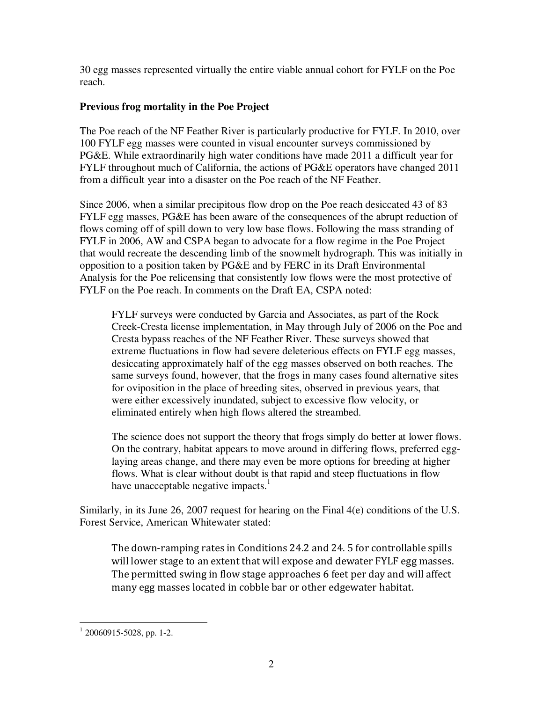30 egg masses represented virtually the entire viable annual cohort for FYLF on the Poe reach.

## **Previous frog mortality in the Poe Project**

The Poe reach of the NF Feather River is particularly productive for FYLF. In 2010, over 100 FYLF egg masses were counted in visual encounter surveys commissioned by PG&E. While extraordinarily high water conditions have made 2011 a difficult year for FYLF throughout much of California, the actions of PG&E operators have changed 2011 from a difficult year into a disaster on the Poe reach of the NF Feather.

Since 2006, when a similar precipitous flow drop on the Poe reach desiccated 43 of 83 FYLF egg masses, PG&E has been aware of the consequences of the abrupt reduction of flows coming off of spill down to very low base flows. Following the mass stranding of FYLF in 2006, AW and CSPA began to advocate for a flow regime in the Poe Project that would recreate the descending limb of the snowmelt hydrograph. This was initially in opposition to a position taken by PG&E and by FERC in its Draft Environmental Analysis for the Poe relicensing that consistently low flows were the most protective of FYLF on the Poe reach. In comments on the Draft EA, CSPA noted:

FYLF surveys were conducted by Garcia and Associates, as part of the Rock Creek-Cresta license implementation, in May through July of 2006 on the Poe and Cresta bypass reaches of the NF Feather River. These surveys showed that extreme fluctuations in flow had severe deleterious effects on FYLF egg masses, desiccating approximately half of the egg masses observed on both reaches. The same surveys found, however, that the frogs in many cases found alternative sites for oviposition in the place of breeding sites, observed in previous years, that were either excessively inundated, subject to excessive flow velocity, or eliminated entirely when high flows altered the streambed.

The science does not support the theory that frogs simply do better at lower flows. On the contrary, habitat appears to move around in differing flows, preferred egglaying areas change, and there may even be more options for breeding at higher flows. What is clear without doubt is that rapid and steep fluctuations in flow have unacceptable negative impacts. $<sup>1</sup>$ </sup>

Similarly, in its June 26, 2007 request for hearing on the Final 4(e) conditions of the U.S. Forest Service, American Whitewater stated:

The down-ramping rates in Conditions 24.2 and 24. 5 for controllable spills will lower stage to an extent that will expose and dewater FYLF egg masses. The permitted swing in flow stage approaches 6 feet per day and will affect many egg masses located in cobble bar or other edgewater habitat.

 $1\overline{20060915}$ -5028, pp. 1-2.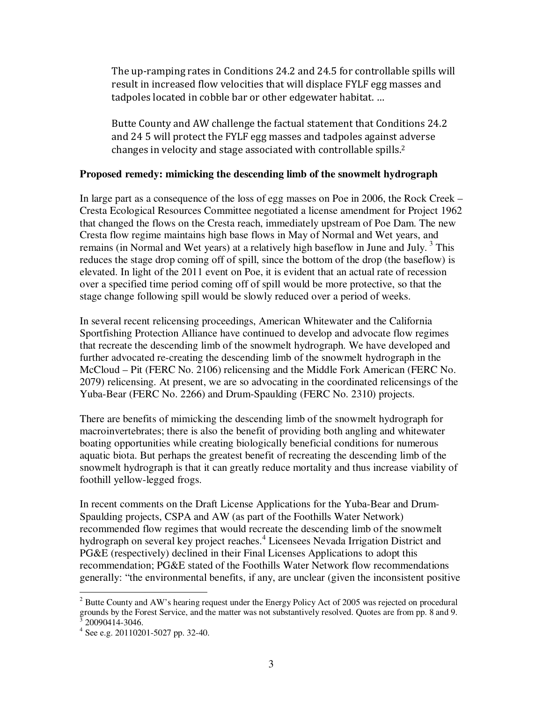The up-ramping rates in Conditions 24.2 and 24.5 for controllable spills will result in increased flow velocities that will displace FYLF egg masses and tadpoles located in cobble bar or other edgewater habitat. …

Butte County and AW challenge the factual statement that Conditions 24.2 and 24 5 will protect the FYLF egg masses and tadpoles against adverse changes in velocity and stage associated with controllable spills.<sup>2</sup>

#### **Proposed remedy: mimicking the descending limb of the snowmelt hydrograph**

In large part as a consequence of the loss of egg masses on Poe in 2006, the Rock Creek – Cresta Ecological Resources Committee negotiated a license amendment for Project 1962 that changed the flows on the Cresta reach, immediately upstream of Poe Dam. The new Cresta flow regime maintains high base flows in May of Normal and Wet years, and remains (in Normal and Wet years) at a relatively high baseflow in June and July.<sup>3</sup> This reduces the stage drop coming off of spill, since the bottom of the drop (the baseflow) is elevated. In light of the 2011 event on Poe, it is evident that an actual rate of recession over a specified time period coming off of spill would be more protective, so that the stage change following spill would be slowly reduced over a period of weeks.

In several recent relicensing proceedings, American Whitewater and the California Sportfishing Protection Alliance have continued to develop and advocate flow regimes that recreate the descending limb of the snowmelt hydrograph. We have developed and further advocated re-creating the descending limb of the snowmelt hydrograph in the McCloud – Pit (FERC No. 2106) relicensing and the Middle Fork American (FERC No. 2079) relicensing. At present, we are so advocating in the coordinated relicensings of the Yuba-Bear (FERC No. 2266) and Drum-Spaulding (FERC No. 2310) projects.

There are benefits of mimicking the descending limb of the snowmelt hydrograph for macroinvertebrates; there is also the benefit of providing both angling and whitewater boating opportunities while creating biologically beneficial conditions for numerous aquatic biota. But perhaps the greatest benefit of recreating the descending limb of the snowmelt hydrograph is that it can greatly reduce mortality and thus increase viability of foothill yellow-legged frogs.

In recent comments on the Draft License Applications for the Yuba-Bear and Drum-Spaulding projects, CSPA and AW (as part of the Foothills Water Network) recommended flow regimes that would recreate the descending limb of the snowmelt hydrograph on several key project reaches.<sup>4</sup> Licensees Nevada Irrigation District and PG&E (respectively) declined in their Final Licenses Applications to adopt this recommendation; PG&E stated of the Foothills Water Network flow recommendations generally: "the environmental benefits, if any, are unclear (given the inconsistent positive

<sup>&</sup>lt;sup>2</sup> Butte County and AW's hearing request under the Energy Policy Act of 2005 was rejected on procedural grounds by the Forest Service, and the matter was not substantively resolved. Quotes are from pp. 8 and 9.<br>3 20000414 3046 20090414-3046.

<sup>4</sup> See e.g. 20110201-5027 pp. 32-40.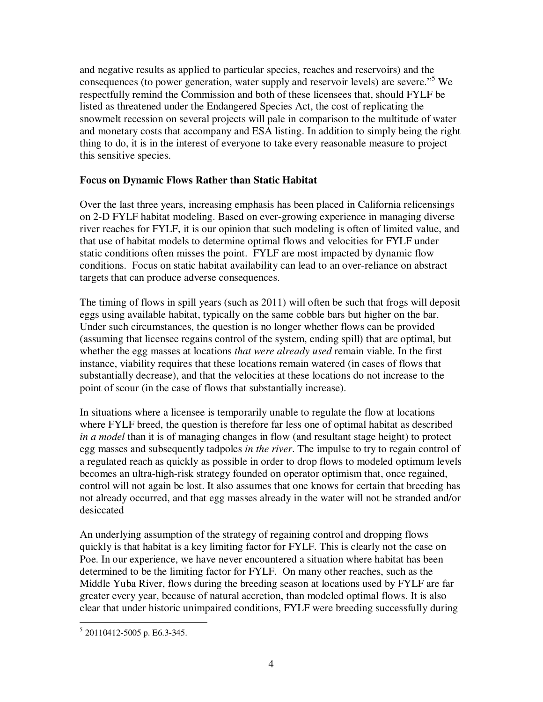and negative results as applied to particular species, reaches and reservoirs) and the consequences (to power generation, water supply and reservoir levels) are severe."<sup>5</sup> We respectfully remind the Commission and both of these licensees that, should FYLF be listed as threatened under the Endangered Species Act, the cost of replicating the snowmelt recession on several projects will pale in comparison to the multitude of water and monetary costs that accompany and ESA listing. In addition to simply being the right thing to do, it is in the interest of everyone to take every reasonable measure to project this sensitive species.

### **Focus on Dynamic Flows Rather than Static Habitat**

Over the last three years, increasing emphasis has been placed in California relicensings on 2-D FYLF habitat modeling. Based on ever-growing experience in managing diverse river reaches for FYLF, it is our opinion that such modeling is often of limited value, and that use of habitat models to determine optimal flows and velocities for FYLF under static conditions often misses the point. FYLF are most impacted by dynamic flow conditions. Focus on static habitat availability can lead to an over-reliance on abstract targets that can produce adverse consequences.

The timing of flows in spill years (such as 2011) will often be such that frogs will deposit eggs using available habitat, typically on the same cobble bars but higher on the bar. Under such circumstances, the question is no longer whether flows can be provided (assuming that licensee regains control of the system, ending spill) that are optimal, but whether the egg masses at locations *that were already used* remain viable. In the first instance, viability requires that these locations remain watered (in cases of flows that substantially decrease), and that the velocities at these locations do not increase to the point of scour (in the case of flows that substantially increase).

In situations where a licensee is temporarily unable to regulate the flow at locations where FYLF breed, the question is therefore far less one of optimal habitat as described *in a model* than it is of managing changes in flow (and resultant stage height) to protect egg masses and subsequently tadpoles *in the river*. The impulse to try to regain control of a regulated reach as quickly as possible in order to drop flows to modeled optimum levels becomes an ultra-high-risk strategy founded on operator optimism that, once regained, control will not again be lost. It also assumes that one knows for certain that breeding has not already occurred, and that egg masses already in the water will not be stranded and/or desiccated

An underlying assumption of the strategy of regaining control and dropping flows quickly is that habitat is a key limiting factor for FYLF. This is clearly not the case on Poe. In our experience, we have never encountered a situation where habitat has been determined to be the limiting factor for FYLF. On many other reaches, such as the Middle Yuba River, flows during the breeding season at locations used by FYLF are far greater every year, because of natural accretion, than modeled optimal flows. It is also clear that under historic unimpaired conditions, FYLF were breeding successfully during

 5 20110412-5005 p. E6.3-345.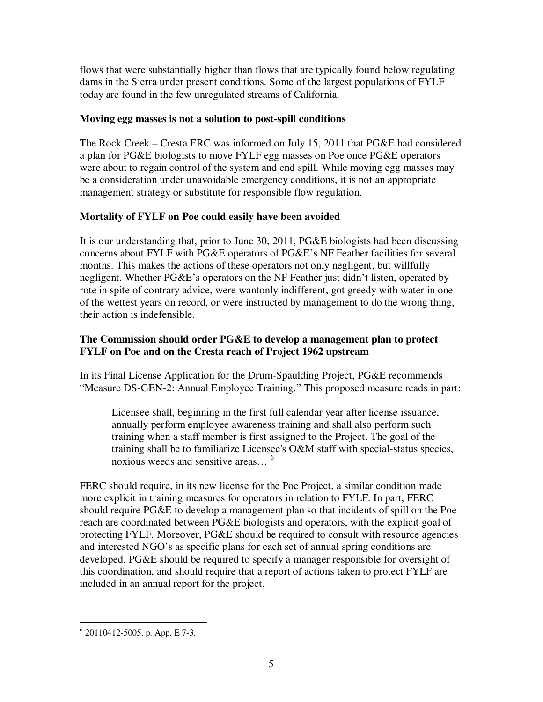flows that were substantially higher than flows that are typically found below regulating dams in the Sierra under present conditions. Some of the largest populations of FYLF today are found in the few unregulated streams of California.

## **Moving egg masses is not a solution to post-spill conditions**

The Rock Creek – Cresta ERC was informed on July 15, 2011 that PG&E had considered a plan for PG&E biologists to move FYLF egg masses on Poe once PG&E operators were about to regain control of the system and end spill. While moving egg masses may be a consideration under unavoidable emergency conditions, it is not an appropriate management strategy or substitute for responsible flow regulation.

## **Mortality of FYLF on Poe could easily have been avoided**

It is our understanding that, prior to June 30, 2011, PG&E biologists had been discussing concerns about FYLF with PG&E operators of PG&E's NF Feather facilities for several months. This makes the actions of these operators not only negligent, but willfully negligent. Whether PG&E's operators on the NF Feather just didn't listen, operated by rote in spite of contrary advice, were wantonly indifferent, got greedy with water in one of the wettest years on record, or were instructed by management to do the wrong thing, their action is indefensible.

## **The Commission should order PG&E to develop a management plan to protect FYLF on Poe and on the Cresta reach of Project 1962 upstream**

In its Final License Application for the Drum-Spaulding Project, PG&E recommends "Measure DS-GEN-2: Annual Employee Training." This proposed measure reads in part:

Licensee shall, beginning in the first full calendar year after license issuance, annually perform employee awareness training and shall also perform such training when a staff member is first assigned to the Project. The goal of the training shall be to familiarize Licensee's O&M staff with special-status species, noxious weeds and sensitive areas… <sup>6</sup>

FERC should require, in its new license for the Poe Project, a similar condition made more explicit in training measures for operators in relation to FYLF. In part, FERC should require PG&E to develop a management plan so that incidents of spill on the Poe reach are coordinated between PG&E biologists and operators, with the explicit goal of protecting FYLF. Moreover, PG&E should be required to consult with resource agencies and interested NGO's as specific plans for each set of annual spring conditions are developed. PG&E should be required to specify a manager responsible for oversight of this coordination, and should require that a report of actions taken to protect FYLF are included in an annual report for the project.

 6 20110412-5005, p. App. E 7-3.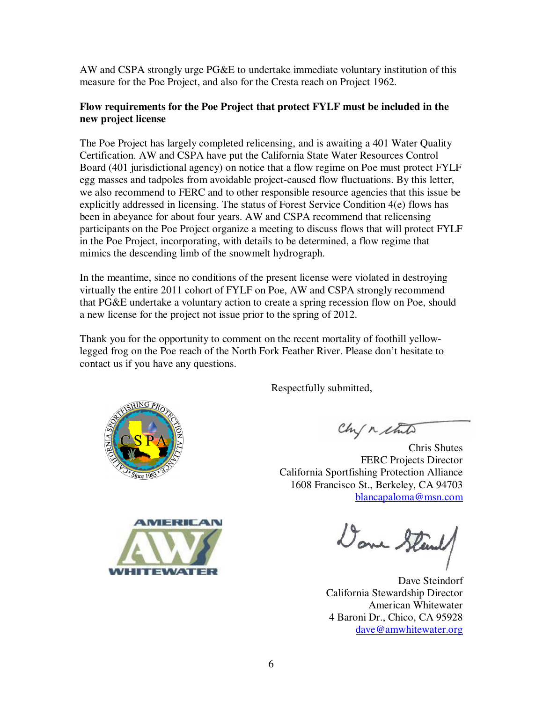AW and CSPA strongly urge PG&E to undertake immediate voluntary institution of this measure for the Poe Project, and also for the Cresta reach on Project 1962.

### **Flow requirements for the Poe Project that protect FYLF must be included in the new project license**

The Poe Project has largely completed relicensing, and is awaiting a 401 Water Quality Certification. AW and CSPA have put the California State Water Resources Control Board (401 jurisdictional agency) on notice that a flow regime on Poe must protect FYLF egg masses and tadpoles from avoidable project-caused flow fluctuations. By this letter, we also recommend to FERC and to other responsible resource agencies that this issue be explicitly addressed in licensing. The status of Forest Service Condition 4(e) flows has been in abeyance for about four years. AW and CSPA recommend that relicensing participants on the Poe Project organize a meeting to discuss flows that will protect FYLF in the Poe Project, incorporating, with details to be determined, a flow regime that mimics the descending limb of the snowmelt hydrograph.

In the meantime, since no conditions of the present license were violated in destroying virtually the entire 2011 cohort of FYLF on Poe, AW and CSPA strongly recommend that PG&E undertake a voluntary action to create a spring recession flow on Poe, should a new license for the project not issue prior to the spring of 2012.

Thank you for the opportunity to comment on the recent mortality of foothill yellowlegged frog on the Poe reach of the North Fork Feather River. Please don't hesitate to contact us if you have any questions.

Respectfully submitted,



Chris Shutes FERC Projects Director California Sportfishing Protection Alliance 1608 Francisco St., Berkeley, CA 94703 blancapaloma@msn.com



Done Steend

Dave Steindorf California Stewardship Director American Whitewater 4 Baroni Dr., Chico, CA 95928 dave@amwhitewater.org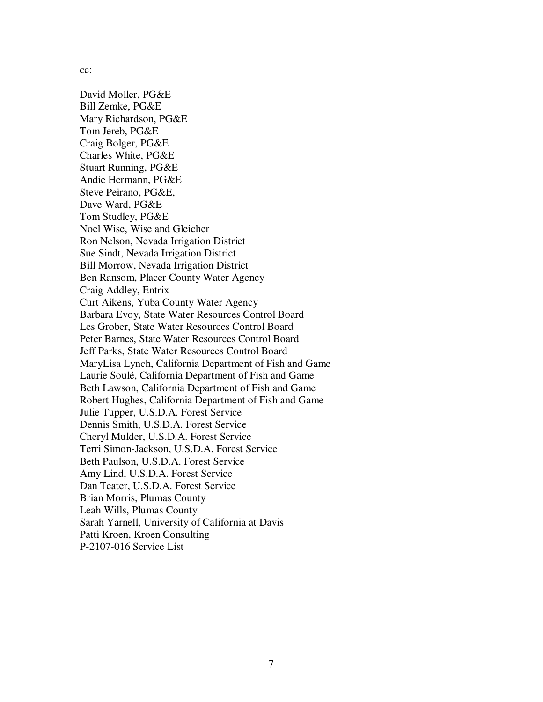cc:

David Moller, PG&E Bill Zemke, PG&E Mary Richardson, PG&E Tom Jereb, PG&E Craig Bolger, PG&E Charles White, PG&E Stuart Running, PG&E Andie Hermann, PG&E Steve Peirano, PG&E, Dave Ward, PG&E Tom Studley, PG&E Noel Wise, Wise and Gleicher Ron Nelson, Nevada Irrigation District Sue Sindt, Nevada Irrigation District Bill Morrow, Nevada Irrigation District Ben Ransom, Placer County Water Agency Craig Addley, Entrix Curt Aikens, Yuba County Water Agency Barbara Evoy, State Water Resources Control Board Les Grober, State Water Resources Control Board Peter Barnes, State Water Resources Control Board Jeff Parks, State Water Resources Control Board MaryLisa Lynch, California Department of Fish and Game Laurie Soulé, California Department of Fish and Game Beth Lawson, California Department of Fish and Game Robert Hughes, California Department of Fish and Game Julie Tupper, U.S.D.A. Forest Service Dennis Smith, U.S.D.A. Forest Service Cheryl Mulder, U.S.D.A. Forest Service Terri Simon-Jackson, U.S.D.A. Forest Service Beth Paulson, U.S.D.A. Forest Service Amy Lind, U.S.D.A. Forest Service Dan Teater, U.S.D.A. Forest Service Brian Morris, Plumas County Leah Wills, Plumas County Sarah Yarnell, University of California at Davis Patti Kroen, Kroen Consulting P-2107-016 Service List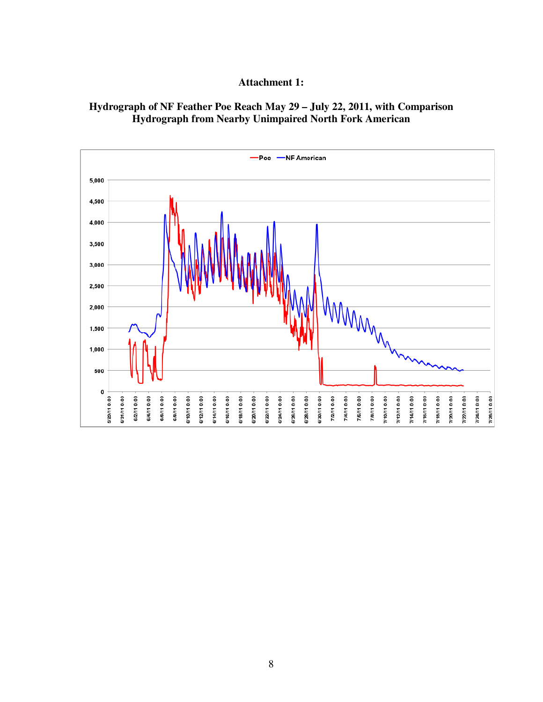#### **Attachment 1:**

#### **Hydrograph of NF Feather Poe Reach May 29 – July 22, 2011, with Comparison Hydrograph from Nearby Unimpaired North Fork American**

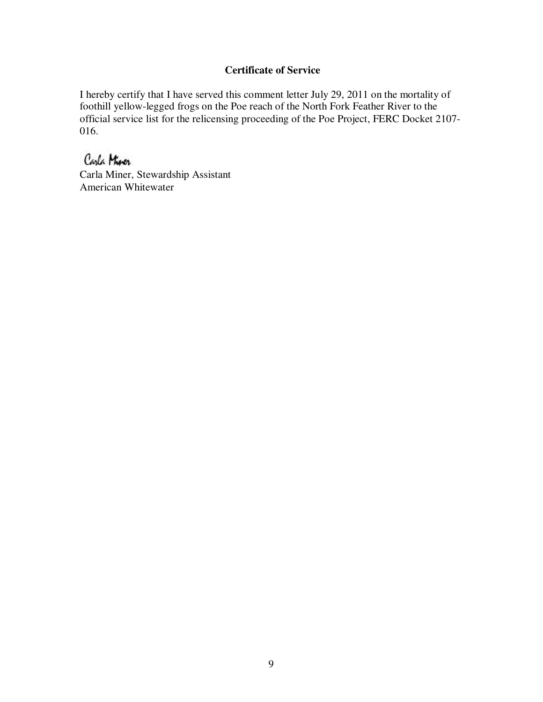## **Certificate of Service**

I hereby certify that I have served this comment letter July 29, 2011 on the mortality of foothill yellow-legged frogs on the Poe reach of the North Fork Feather River to the official service list for the relicensing proceeding of the Poe Project, FERC Docket 2107- 016.

# Carla Mirer

Carla Miner, Stewardship Assistant American Whitewater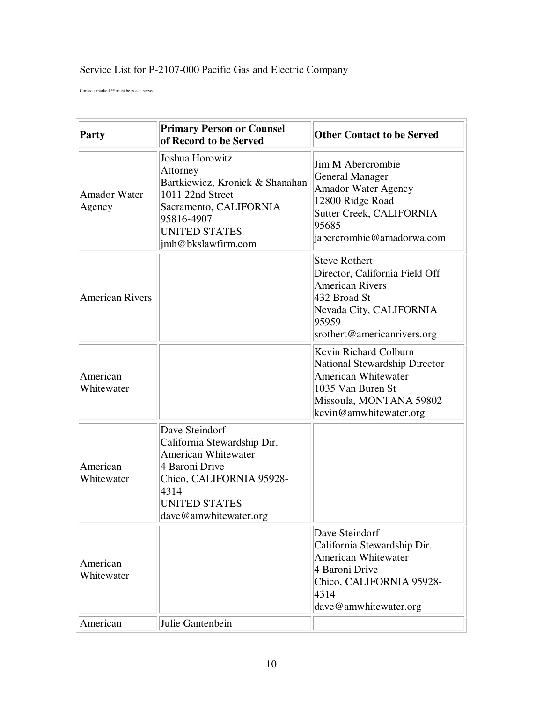# Service List for P-2107-000 Pacific Gas and Electric Company

Contacts marked \*\* must be postal served

| <b>Party</b>                  | <b>Primary Person or Counsel</b><br>of Record to be Served                                                                                                                         | <b>Other Contact to be Served</b>                                                                                                                                      |
|-------------------------------|------------------------------------------------------------------------------------------------------------------------------------------------------------------------------------|------------------------------------------------------------------------------------------------------------------------------------------------------------------------|
| <b>Amador Water</b><br>Agency | Joshua Horowitz<br>Attorney<br>Bartkiewicz, Kronick & Shanahan<br>1011 22nd Street<br>Sacramento, CALIFORNIA<br>95816-4907<br><b>UNITED STATES</b><br>imh@bkslawfirm.com           | Jim M Abercrombie<br><b>General Manager</b><br><b>Amador Water Agency</b><br>12800 Ridge Road<br><b>Sutter Creek, CALIFORNIA</b><br>95685<br>jabercrombie@amadorwa.com |
| <b>American Rivers</b>        |                                                                                                                                                                                    | <b>Steve Rothert</b><br>Director, California Field Off<br><b>American Rivers</b><br>432 Broad St<br>Nevada City, CALIFORNIA<br>95959<br>srothert@americanrivers.org    |
| American<br>Whitewater        |                                                                                                                                                                                    | Kevin Richard Colburn<br>National Stewardship Director<br><b>American Whitewater</b><br>1035 Van Buren St<br>Missoula, MONTANA 59802<br>kevin@amwhitewater.org         |
| American<br>Whitewater        | Dave Steindorf<br>California Stewardship Dir.<br><b>American Whitewater</b><br>4 Baroni Drive<br>Chico, CALIFORNIA 95928-<br>4314<br><b>UNITED STATES</b><br>dave@amwhitewater.org |                                                                                                                                                                        |
| American<br>Whitewater        |                                                                                                                                                                                    | Dave Steindorf<br>California Stewardship Dir.<br>American Whitewater<br>4 Baroni Drive<br>Chico, CALIFORNIA 95928-<br>4314<br>dave@amwhitewater.org                    |
| American                      | Julie Gantenbein                                                                                                                                                                   |                                                                                                                                                                        |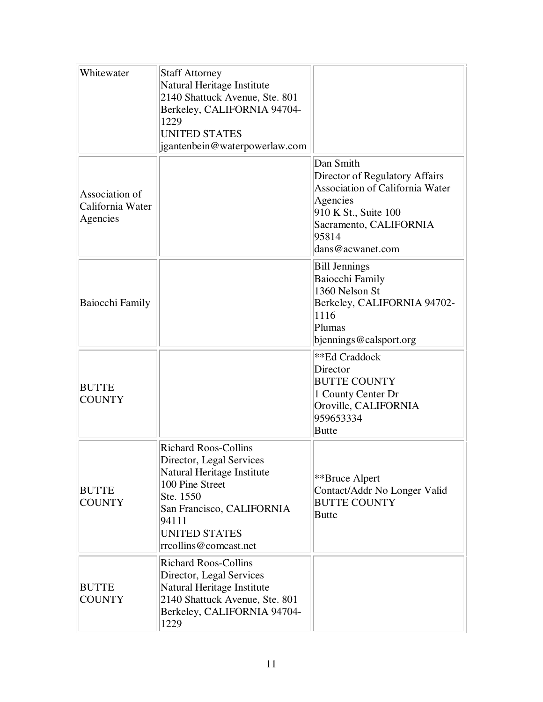| Whitewater                                     | <b>Staff Attorney</b><br>Natural Heritage Institute<br>2140 Shattuck Avenue, Ste. 801<br>Berkeley, CALIFORNIA 94704-<br>1229<br><b>UNITED STATES</b><br>jgantenbein@waterpowerlaw.com                        |                                                                                                                                                                                  |
|------------------------------------------------|--------------------------------------------------------------------------------------------------------------------------------------------------------------------------------------------------------------|----------------------------------------------------------------------------------------------------------------------------------------------------------------------------------|
| Association of<br>California Water<br>Agencies |                                                                                                                                                                                                              | Dan Smith<br>Director of Regulatory Affairs<br><b>Association of California Water</b><br>Agencies<br>910 K St., Suite 100<br>Sacramento, CALIFORNIA<br>95814<br>dans@acwanet.com |
| Baiocchi Family                                |                                                                                                                                                                                                              | <b>Bill Jennings</b><br>Baiocchi Family<br>1360 Nelson St<br>Berkeley, CALIFORNIA 94702-<br>1116<br>Plumas<br>bjennings@calsport.org                                             |
| <b>BUTTE</b><br><b>COUNTY</b>                  |                                                                                                                                                                                                              | **Ed Craddock<br>Director<br><b>BUTTE COUNTY</b><br>1 County Center Dr<br>Oroville, CALIFORNIA<br>959653334<br><b>Butte</b>                                                      |
| <b>BUTTE</b><br><b>COUNTY</b>                  | <b>Richard Roos-Collins</b><br>Director, Legal Services<br>Natural Heritage Institute<br>100 Pine Street<br>Ste. 1550<br>San Francisco, CALIFORNIA<br>94111<br><b>UNITED STATES</b><br>rrcollins@comcast.net | **Bruce Alpert<br>Contact/Addr No Longer Valid<br><b>BUTTE COUNTY</b><br><b>Butte</b>                                                                                            |
| <b>BUTTE</b><br><b>COUNTY</b>                  | <b>Richard Roos-Collins</b><br>Director, Legal Services<br>Natural Heritage Institute<br>2140 Shattuck Avenue, Ste. 801<br>Berkeley, CALIFORNIA 94704-<br>1229                                               |                                                                                                                                                                                  |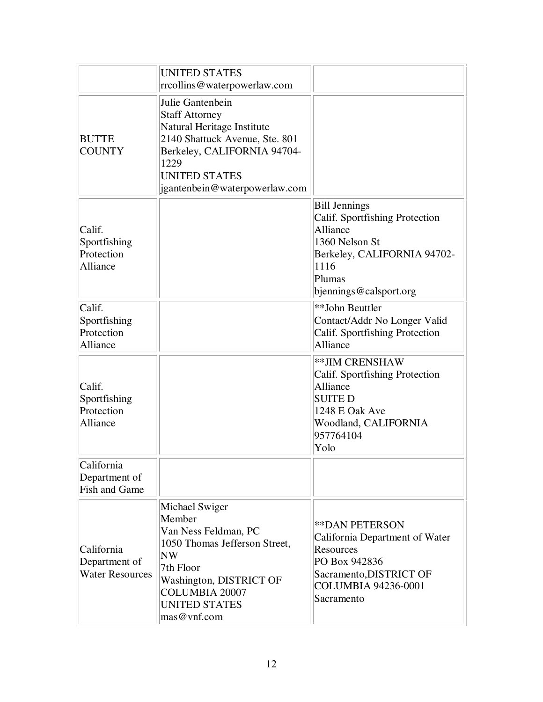|                                                       | <b>UNITED STATES</b><br>rrcollins@waterpowerlaw.com                                                                                                                                                       |                                                                                                                                                                 |
|-------------------------------------------------------|-----------------------------------------------------------------------------------------------------------------------------------------------------------------------------------------------------------|-----------------------------------------------------------------------------------------------------------------------------------------------------------------|
| <b>BUTTE</b><br><b>COUNTY</b>                         | Julie Gantenbein<br><b>Staff Attorney</b><br>Natural Heritage Institute<br>2140 Shattuck Avenue, Ste. 801<br>Berkeley, CALIFORNIA 94704-<br>1229<br><b>UNITED STATES</b><br>igantenbein@waterpowerlaw.com |                                                                                                                                                                 |
| Calif.<br>Sportfishing<br>Protection<br>Alliance      |                                                                                                                                                                                                           | <b>Bill Jennings</b><br>Calif. Sportfishing Protection<br>Alliance<br>1360 Nelson St<br>Berkeley, CALIFORNIA 94702-<br>1116<br>Plumas<br>bjennings@calsport.org |
| Calif.<br>Sportfishing<br>Protection<br>Alliance      |                                                                                                                                                                                                           | **John Beuttler<br>Contact/Addr No Longer Valid<br>Calif. Sportfishing Protection<br>Alliance                                                                   |
| Calif.<br>Sportfishing<br>Protection<br>Alliance      |                                                                                                                                                                                                           | ** JIM CRENSHAW<br>Calif. Sportfishing Protection<br>Alliance<br><b>SUITED</b><br>1248 E Oak Ave<br>Woodland, CALIFORNIA<br>957764104<br>Yolo                   |
| California<br>Department of<br><b>Fish and Game</b>   |                                                                                                                                                                                                           |                                                                                                                                                                 |
| California<br>Department of<br><b>Water Resources</b> | Michael Swiger<br>Member<br>Van Ness Feldman, PC<br>1050 Thomas Jefferson Street,<br>$N_{\rm W}$<br>7th Floor<br>Washington, DISTRICT OF<br><b>COLUMBIA 20007</b><br><b>UNITED STATES</b><br>mas@vnf.com  | <b>**DAN PETERSON</b><br>California Department of Water<br>Resources<br>PO Box 942836<br>Sacramento, DISTRICT OF<br>COLUMBIA 94236-0001<br>Sacramento           |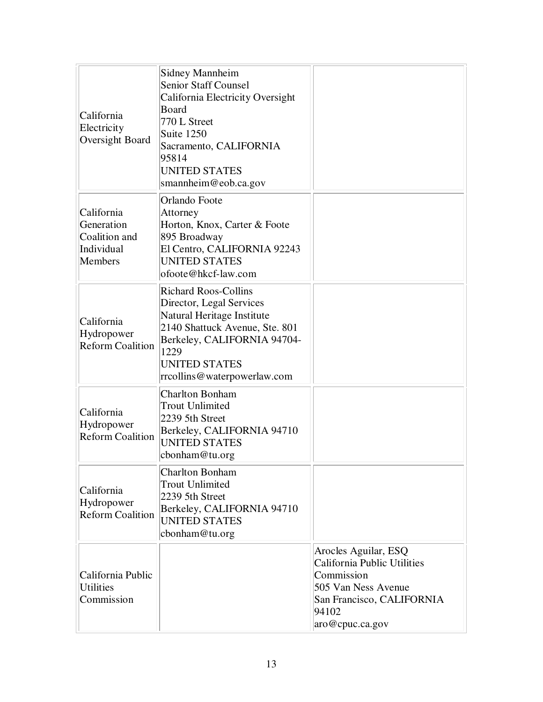| California<br>Electricity<br>Oversight Board                              | <b>Sidney Mannheim</b><br><b>Senior Staff Counsel</b><br>California Electricity Oversight<br>Board<br>770 L Street<br>Suite 1250<br>Sacramento, CALIFORNIA<br>95814<br><b>UNITED STATES</b><br>smannheim@eob.ca.gov   |                                                                                                                                                   |
|---------------------------------------------------------------------------|-----------------------------------------------------------------------------------------------------------------------------------------------------------------------------------------------------------------------|---------------------------------------------------------------------------------------------------------------------------------------------------|
| California<br>Generation<br>Coalition and<br>Individual<br><b>Members</b> | Orlando Foote<br>Attorney<br>Horton, Knox, Carter & Foote<br>895 Broadway<br>El Centro, CALIFORNIA 92243<br><b>UNITED STATES</b><br>ofoote@hkcf-law.com                                                               |                                                                                                                                                   |
| California<br>Hydropower<br><b>Reform Coalition</b>                       | <b>Richard Roos-Collins</b><br>Director, Legal Services<br>Natural Heritage Institute<br>2140 Shattuck Avenue, Ste. 801<br>Berkeley, CALIFORNIA 94704-<br>1229<br><b>UNITED STATES</b><br>rrcollins@waterpowerlaw.com |                                                                                                                                                   |
| California<br>Hydropower<br><b>Reform Coalition</b>                       | <b>Charlton Bonham</b><br><b>Trout Unlimited</b><br>2239 5th Street<br>Berkeley, CALIFORNIA 94710<br><b>UNITED STATES</b><br>cbonham@tu.org                                                                           |                                                                                                                                                   |
| California<br>Hydropower<br><b>Reform Coalition</b>                       | <b>Charlton Bonham</b><br><b>Trout Unlimited</b><br>2239 5th Street<br>Berkeley, CALIFORNIA 94710<br><b>UNITED STATES</b><br>cbonham@tu.org                                                                           |                                                                                                                                                   |
| California Public<br><b>Utilities</b><br>Commission                       |                                                                                                                                                                                                                       | Arocles Aguilar, ESQ<br>California Public Utilities<br>Commission<br>505 Van Ness Avenue<br>San Francisco, CALIFORNIA<br>94102<br>aro@cpuc.ca.gov |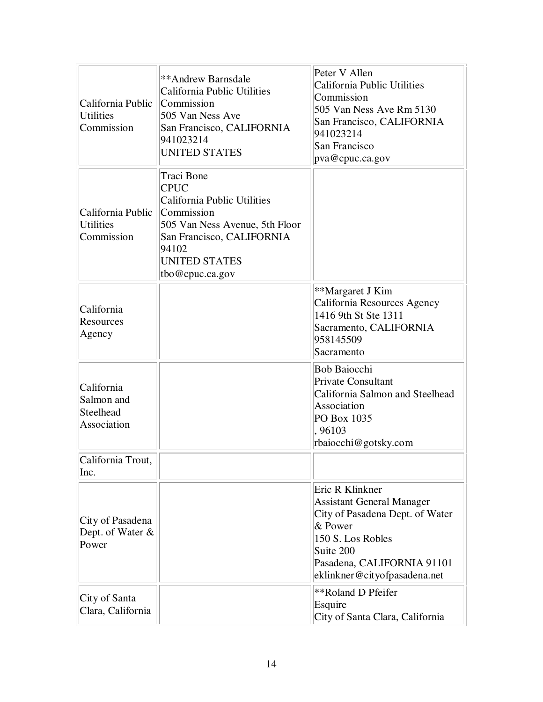| California Public<br><b>Utilities</b><br>Commission  | **Andrew Barnsdale<br>California Public Utilities<br>Commission<br>505 Van Ness Ave<br>San Francisco, CALIFORNIA<br>941023214<br><b>UNITED STATES</b>                                     | Peter V Allen<br>California Public Utilities<br>Commission<br>505 Van Ness Ave Rm 5130<br>San Francisco, CALIFORNIA<br>941023214<br>San Francisco<br>pva@cpuc.ca.gov                              |
|------------------------------------------------------|-------------------------------------------------------------------------------------------------------------------------------------------------------------------------------------------|---------------------------------------------------------------------------------------------------------------------------------------------------------------------------------------------------|
| California Public<br><b>Utilities</b><br>Commission  | Traci Bone<br><b>CPUC</b><br>California Public Utilities<br>Commission<br>505 Van Ness Avenue, 5th Floor<br>San Francisco, CALIFORNIA<br>94102<br><b>UNITED STATES</b><br>tbo@cpuc.ca.gov |                                                                                                                                                                                                   |
| California<br>Resources<br>Agency                    |                                                                                                                                                                                           | **Margaret J Kim<br>California Resources Agency<br>1416 9th St Ste 1311<br>Sacramento, CALIFORNIA<br>958145509<br>Sacramento                                                                      |
| California<br>Salmon and<br>Steelhead<br>Association |                                                                                                                                                                                           | <b>Bob Baiocchi</b><br>Private Consultant<br>California Salmon and Steelhead<br>Association<br>PO Box 1035<br>,96103<br>rbaiocchi@gotsky.com                                                      |
| California Trout.<br>Inc.                            |                                                                                                                                                                                           |                                                                                                                                                                                                   |
| City of Pasadena<br>Dept. of Water &<br>Power        |                                                                                                                                                                                           | Eric R Klinkner<br><b>Assistant General Manager</b><br>City of Pasadena Dept. of Water<br>& Power<br>150 S. Los Robles<br>Suite 200<br>Pasadena, CALIFORNIA 91101<br>eklinkner@cityofpasadena.net |
| City of Santa<br>Clara, California                   |                                                                                                                                                                                           | **Roland D Pfeifer<br>Esquire<br>City of Santa Clara, California                                                                                                                                  |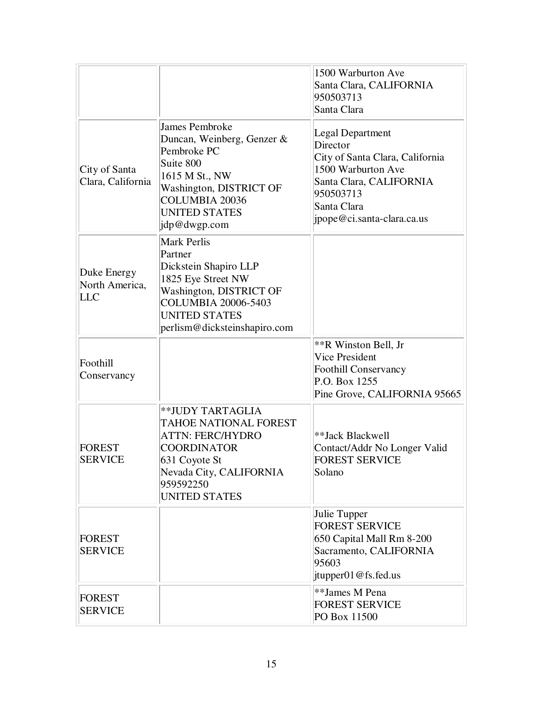|                                             |                                                                                                                                                                                               | 1500 Warburton Ave<br>Santa Clara, CALIFORNIA<br>950503713<br>Santa Clara                                                                                                         |
|---------------------------------------------|-----------------------------------------------------------------------------------------------------------------------------------------------------------------------------------------------|-----------------------------------------------------------------------------------------------------------------------------------------------------------------------------------|
| City of Santa<br>Clara, California          | James Pembroke<br>Duncan, Weinberg, Genzer &<br>Pembroke PC<br>Suite 800<br>1615 M St., NW<br>Washington, DISTRICT OF<br><b>COLUMBIA 20036</b><br><b>UNITED STATES</b><br>jdp@dwgp.com        | <b>Legal Department</b><br>Director<br>City of Santa Clara, California<br>1500 Warburton Ave<br>Santa Clara, CALIFORNIA<br>950503713<br>Santa Clara<br>jpope@ci.santa-clara.ca.us |
| Duke Energy<br>North America,<br><b>LLC</b> | <b>Mark Perlis</b><br>Partner<br>Dickstein Shapiro LLP<br>1825 Eye Street NW<br>Washington, DISTRICT OF<br><b>COLUMBIA 20006-5403</b><br><b>UNITED STATES</b><br>perlism@dicksteinshapiro.com |                                                                                                                                                                                   |
| Foothill<br>Conservancy                     |                                                                                                                                                                                               | **R Winston Bell, Jr<br><b>Vice President</b><br><b>Foothill Conservancy</b><br>P.O. Box 1255<br>Pine Grove, CALIFORNIA 95665                                                     |
| <b>FOREST</b><br><b>SERVICE</b>             | **JUDY TARTAGLIA<br>TAHOE NATIONAL FOREST<br><b>ATTN: FERC/HYDRO</b><br><b>COORDINATOR</b><br>631 Coyote St<br>Nevada City, CALIFORNIA<br>959592250<br><b>UNITED STATES</b>                   | **Jack Blackwell<br>Contact/Addr No Longer Valid<br><b>FOREST SERVICE</b><br>Solano                                                                                               |
| <b>FOREST</b><br><b>SERVICE</b>             |                                                                                                                                                                                               | Julie Tupper<br><b>FOREST SERVICE</b><br>650 Capital Mall Rm 8-200<br>Sacramento, CALIFORNIA<br>95603<br>[tinyper01@fs.fed.us]                                                    |
| <b>FOREST</b><br><b>SERVICE</b>             |                                                                                                                                                                                               | **James M Pena<br><b>FOREST SERVICE</b><br>PO Box 11500                                                                                                                           |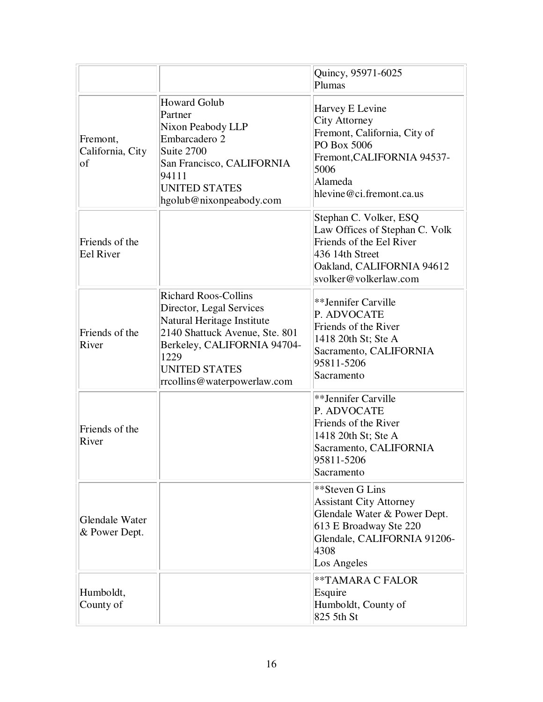|                                        |                                                                                                                                                                                                                       | Quincy, 95971-6025<br>Plumas                                                                                                                                      |
|----------------------------------------|-----------------------------------------------------------------------------------------------------------------------------------------------------------------------------------------------------------------------|-------------------------------------------------------------------------------------------------------------------------------------------------------------------|
| Fremont,<br>California, City<br>of     | <b>Howard Golub</b><br>Partner<br>Nixon Peabody LLP<br>Embarcadero 2<br>Suite 2700<br>San Francisco, CALIFORNIA<br>94111<br><b>UNITED STATES</b><br>hgolub@nixonpeabody.com                                           | Harvey E Levine<br>City Attorney<br>Fremont, California, City of<br>PO Box 5006<br>Fremont, CALIFORNIA 94537-<br>5006<br>Alameda<br>hlevine@ci.fremont.ca.us      |
| Friends of the<br><b>Eel River</b>     |                                                                                                                                                                                                                       | Stephan C. Volker, ESQ<br>Law Offices of Stephan C. Volk<br>Friends of the Eel River<br>436 14th Street<br>Oakland, CALIFORNIA 94612<br>svolker@volkerlaw.com     |
| Friends of the<br>River                | <b>Richard Roos-Collins</b><br>Director, Legal Services<br>Natural Heritage Institute<br>2140 Shattuck Avenue, Ste. 801<br>Berkeley, CALIFORNIA 94704-<br>1229<br><b>UNITED STATES</b><br>rrcollins@waterpowerlaw.com | **Jennifer Carville<br>P. ADVOCATE<br>Friends of the River<br>1418 20th St; Ste A<br>Sacramento, CALIFORNIA<br>95811-5206<br>Sacramento                           |
| Friends of the<br>River                |                                                                                                                                                                                                                       | **Jennifer Carville<br>P. ADVOCATE<br>Friends of the River<br>1418 20th St; Ste A<br>Sacramento, CALIFORNIA<br>95811-5206<br>Sacramento                           |
| <b>Glendale Water</b><br>& Power Dept. |                                                                                                                                                                                                                       | **Steven G Lins<br><b>Assistant City Attorney</b><br>Glendale Water & Power Dept.<br>613 E Broadway Ste 220<br>Glendale, CALIFORNIA 91206-<br>4308<br>Los Angeles |
| Humboldt,<br>County of                 |                                                                                                                                                                                                                       | **TAMARA C FALOR<br>Esquire<br>Humboldt, County of<br>825 5th St                                                                                                  |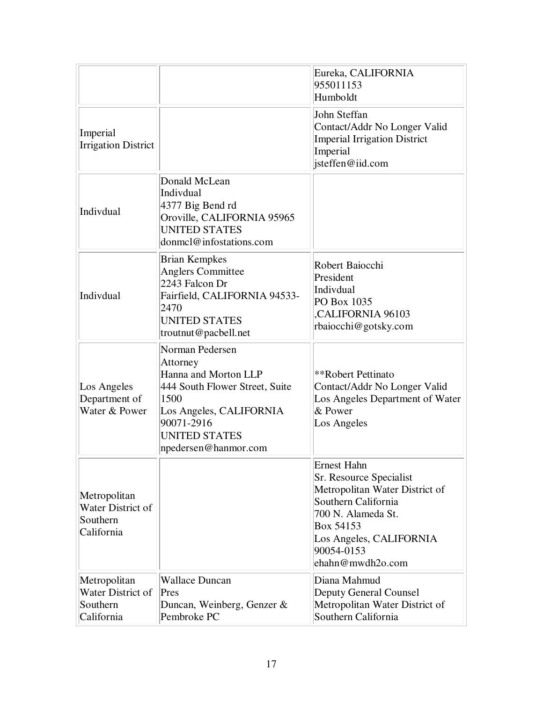|                                                             |                                                                                                                                                                                        | Eureka, CALIFORNIA<br>955011153<br>Humboldt                                                                                                                                                            |
|-------------------------------------------------------------|----------------------------------------------------------------------------------------------------------------------------------------------------------------------------------------|--------------------------------------------------------------------------------------------------------------------------------------------------------------------------------------------------------|
| Imperial<br><b>Irrigation District</b>                      |                                                                                                                                                                                        | John Steffan<br>Contact/Addr No Longer Valid<br><b>Imperial Irrigation District</b><br>Imperial<br>jsteffen@iid.com                                                                                    |
| Indivdual                                                   | Donald McLean<br>Indivdual<br>4377 Big Bend rd<br>Oroville, CALIFORNIA 95965<br><b>UNITED STATES</b><br>donmel@infostations.com                                                        |                                                                                                                                                                                                        |
| Indivdual                                                   | <b>Brian Kempkes</b><br><b>Anglers Committee</b><br>2243 Falcon Dr<br>Fairfield, CALIFORNIA 94533-<br>2470<br><b>UNITED STATES</b><br>troutnut@pacbell.net                             | Robert Baiocchi<br>President<br>Indivdual<br>PO Box 1035<br>CALIFORNIA 96103<br>rbaiocchi@gotsky.com                                                                                                   |
| Los Angeles<br>Department of<br>Water & Power               | Norman Pedersen<br>Attorney<br>Hanna and Morton LLP<br>444 South Flower Street, Suite<br>1500<br>Los Angeles, CALIFORNIA<br>90071-2916<br><b>UNITED STATES</b><br>npedersen@hanmor.com | **Robert Pettinato<br>Contact/Addr No Longer Valid<br>Los Angeles Department of Water<br>& Power<br>Los Angeles                                                                                        |
| Metropolitan<br>Water District of<br>Southern<br>California |                                                                                                                                                                                        | <b>Ernest Hahn</b><br>Sr. Resource Specialist<br>Metropolitan Water District of<br>Southern California<br>700 N. Alameda St.<br>Box 54153<br>Los Angeles, CALIFORNIA<br>90054-0153<br>ehahn@mwdh2o.com |
| Metropolitan<br>Water District of<br>Southern<br>California | <b>Wallace Duncan</b><br>Pres<br>Duncan, Weinberg, Genzer &<br>Pembroke PC                                                                                                             | Diana Mahmud<br><b>Deputy General Counsel</b><br>Metropolitan Water District of<br>Southern California                                                                                                 |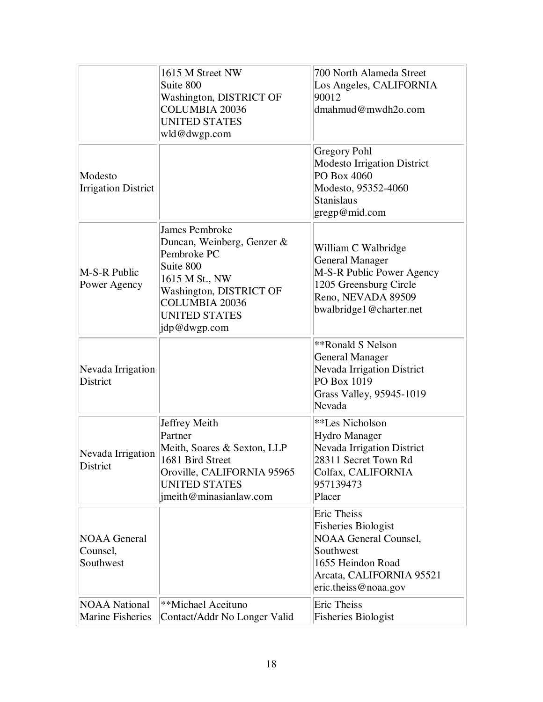|                                                 | 1615 M Street NW<br>Suite 800<br>Washington, DISTRICT OF<br><b>COLUMBIA 20036</b><br><b>UNITED STATES</b><br>wld@dwgp.com                                                                     | 700 North Alameda Street<br>Los Angeles, CALIFORNIA<br>90012<br>dmahmud@mwdh2o.com                                                                                     |
|-------------------------------------------------|-----------------------------------------------------------------------------------------------------------------------------------------------------------------------------------------------|------------------------------------------------------------------------------------------------------------------------------------------------------------------------|
| Modesto<br><b>Irrigation District</b>           |                                                                                                                                                                                               | <b>Gregory Pohl</b><br><b>Modesto Irrigation District</b><br>PO Box 4060<br>Modesto, 95352-4060<br><b>Stanislaus</b><br>gregp@mid.com                                  |
| M-S-R Public<br>Power Agency                    | <b>James Pembroke</b><br>Duncan, Weinberg, Genzer &<br>Pembroke PC<br>Suite 800<br>1615 M St., NW<br>Washington, DISTRICT OF<br><b>COLUMBIA 20036</b><br><b>UNITED STATES</b><br>jdp@dwgp.com | William C Walbridge<br><b>General Manager</b><br>M-S-R Public Power Agency<br>1205 Greensburg Circle<br>Reno, NEVADA 89509<br>bwalbridge1@charter.net                  |
| Nevada Irrigation<br>District                   |                                                                                                                                                                                               | **Ronald S Nelson<br><b>General Manager</b><br><b>Nevada Irrigation District</b><br>PO Box 1019<br>Grass Valley, 95945-1019<br>Nevada                                  |
| Nevada Irrigation<br>District                   | Jeffrey Meith<br>Partner<br>Meith, Soares & Sexton, LLP<br>1681 Bird Street<br>Oroville, CALIFORNIA 95965<br><b>UNITED STATES</b><br>jmeith@minasianlaw.com                                   | **Les Nicholson<br>Hydro Manager<br><b>Nevada Irrigation District</b><br>28311 Secret Town Rd<br>Colfax, CALIFORNIA<br>957139473<br>Placer                             |
| <b>NOAA</b> General<br>Counsel,<br>Southwest    |                                                                                                                                                                                               | <b>Eric Theiss</b><br><b>Fisheries Biologist</b><br><b>NOAA General Counsel,</b><br>Southwest<br>1655 Heindon Road<br>Arcata, CALIFORNIA 95521<br>eric.theiss@noaa.gov |
| <b>NOAA National</b><br><b>Marine Fisheries</b> | **Michael Aceituno<br>Contact/Addr No Longer Valid                                                                                                                                            | <b>Eric Theiss</b><br><b>Fisheries Biologist</b>                                                                                                                       |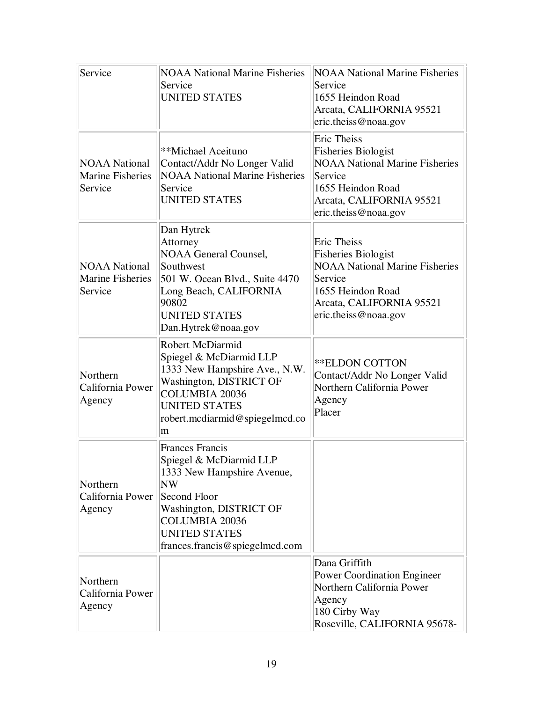| Service                                                    | <b>NOAA National Marine Fisheries</b><br>Service<br><b>UNITED STATES</b>                                                                                                                                             | <b>NOAA National Marine Fisheries</b><br>Service<br>1655 Heindon Road<br>Arcata, CALIFORNIA 95521<br>eric.theiss@noaa.gov                                                     |
|------------------------------------------------------------|----------------------------------------------------------------------------------------------------------------------------------------------------------------------------------------------------------------------|-------------------------------------------------------------------------------------------------------------------------------------------------------------------------------|
| <b>NOAA National</b><br><b>Marine Fisheries</b><br>Service | **Michael Aceituno<br>Contact/Addr No Longer Valid<br><b>NOAA National Marine Fisheries</b><br>Service<br><b>UNITED STATES</b>                                                                                       | <b>Eric Theiss</b><br><b>Fisheries Biologist</b><br><b>NOAA National Marine Fisheries</b><br>Service<br>1655 Heindon Road<br>Arcata, CALIFORNIA 95521<br>eric.theiss@noaa.gov |
| <b>NOAA National</b><br><b>Marine Fisheries</b><br>Service | Dan Hytrek<br>Attorney<br>NOAA General Counsel,<br>Southwest<br>501 W. Ocean Blvd., Suite 4470<br>Long Beach, CALIFORNIA<br>90802<br><b>UNITED STATES</b><br>Dan.Hytrek@noaa.gov                                     | <b>Eric Theiss</b><br><b>Fisheries Biologist</b><br><b>NOAA National Marine Fisheries</b><br>Service<br>1655 Heindon Road<br>Arcata, CALIFORNIA 95521<br>eric.theiss@noaa.gov |
| Northern<br>California Power<br>Agency                     | Robert McDiarmid<br>Spiegel & McDiarmid LLP<br>1333 New Hampshire Ave., N.W.<br>Washington, DISTRICT OF<br><b>COLUMBIA 20036</b><br><b>UNITED STATES</b><br>robert.mcdiarmid@spiegelmcd.co<br>m                      | <b>**ELDON COTTON</b><br>Contact/Addr No Longer Valid<br>Northern California Power<br>Agency<br>Placer                                                                        |
| Northern<br>California Power<br>Agency                     | <b>Frances Francis</b><br>Spiegel & McDiarmid LLP<br>1333 New Hampshire Avenue,<br>N W<br>Second Floor<br>Washington, DISTRICT OF<br><b>COLUMBIA 20036</b><br><b>UNITED STATES</b><br>frances.francis@spiegelmcd.com |                                                                                                                                                                               |
| Northern<br>California Power<br>Agency                     |                                                                                                                                                                                                                      | Dana Griffith<br><b>Power Coordination Engineer</b><br>Northern California Power<br>Agency<br>180 Cirby Way<br>Roseville, CALIFORNIA 95678-                                   |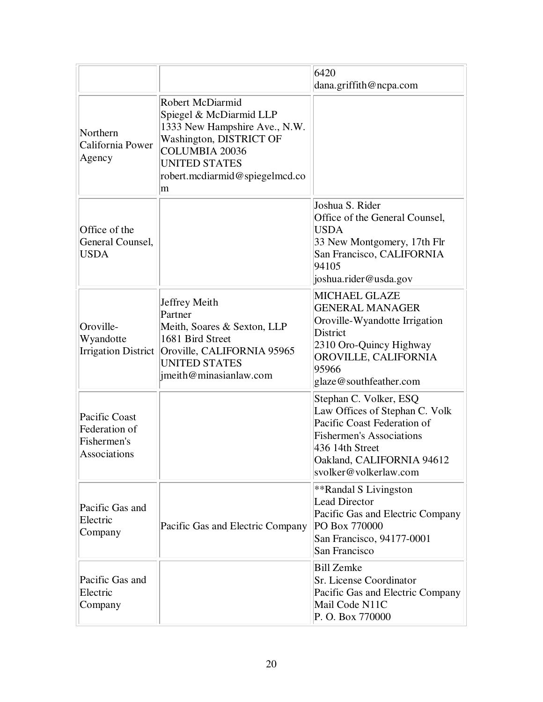|                                                               |                                                                                                                                                                                          | 6420<br>dana.griffith@ncpa.com                                                                                                                                                                      |
|---------------------------------------------------------------|------------------------------------------------------------------------------------------------------------------------------------------------------------------------------------------|-----------------------------------------------------------------------------------------------------------------------------------------------------------------------------------------------------|
| Northern<br>California Power<br>Agency                        | Robert McDiarmid<br>Spiegel & McDiarmid LLP<br>1333 New Hampshire Ave., N.W.<br>Washington, DISTRICT OF<br>COLUMBIA 20036<br><b>UNITED STATES</b><br>robert.mcdiarmid@spiegelmcd.co<br>m |                                                                                                                                                                                                     |
| Office of the<br>General Counsel,<br><b>USDA</b>              |                                                                                                                                                                                          | Joshua S. Rider<br>Office of the General Counsel,<br><b>USDA</b><br>33 New Montgomery, 17th Flr<br>San Francisco, CALIFORNIA<br>94105<br>joshua.rider@usda.gov                                      |
| Oroville-<br>Wyandotte                                        | Jeffrey Meith<br>Partner<br>Meith, Soares & Sexton, LLP<br>1681 Bird Street<br>Irrigation District   Oroville, CALIFORNIA 95965<br><b>UNITED STATES</b><br>imeith@minasianlaw.com        | <b>MICHAEL GLAZE</b><br><b>GENERAL MANAGER</b><br>Oroville-Wyandotte Irrigation<br><b>District</b><br>2310 Oro-Quincy Highway<br>OROVILLE, CALIFORNIA<br>95966<br>glaze@southfeather.com            |
| Pacific Coast<br>Federation of<br>Fishermen's<br>Associations |                                                                                                                                                                                          | Stephan C. Volker, ESQ<br>Law Offices of Stephan C. Volk<br>Pacific Coast Federation of<br><b>Fishermen's Associations</b><br>436 14th Street<br>Oakland, CALIFORNIA 94612<br>svolker@volkerlaw.com |
| Pacific Gas and<br>Electric<br>Company                        | Pacific Gas and Electric Company                                                                                                                                                         | **Randal S Livingston<br><b>Lead Director</b><br>Pacific Gas and Electric Company<br>PO Box 770000<br>San Francisco, 94177-0001<br>San Francisco                                                    |
| Pacific Gas and<br>Electric<br>Company                        |                                                                                                                                                                                          | <b>Bill Zemke</b><br>Sr. License Coordinator<br>Pacific Gas and Electric Company<br>Mail Code N11C<br>P. O. Box 770000                                                                              |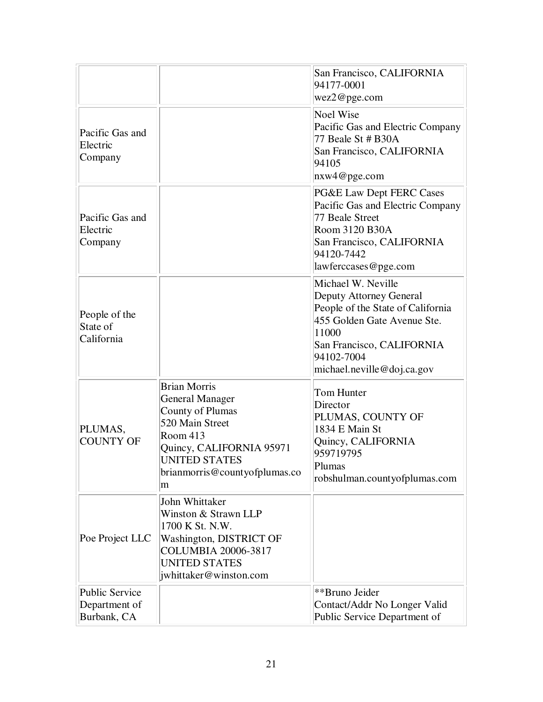|                                                       |                                                                                                                                                                                                   | San Francisco, CALIFORNIA<br>94177-0001<br>wez2@pge.com                                                                                                                                             |
|-------------------------------------------------------|---------------------------------------------------------------------------------------------------------------------------------------------------------------------------------------------------|-----------------------------------------------------------------------------------------------------------------------------------------------------------------------------------------------------|
| Pacific Gas and<br>Electric<br>Company                |                                                                                                                                                                                                   | <b>Noel Wise</b><br>Pacific Gas and Electric Company<br>77 Beale St # B30A<br>San Francisco, CALIFORNIA<br>94105<br>nxw4@pge.com                                                                    |
| Pacific Gas and<br>Electric<br>Company                |                                                                                                                                                                                                   | PG&E Law Dept FERC Cases<br>Pacific Gas and Electric Company<br>77 Beale Street<br>Room 3120 B30A<br>San Francisco, CALIFORNIA<br>94120-7442<br>lawferccases@pge.com                                |
| People of the<br>State of<br>California               |                                                                                                                                                                                                   | Michael W. Neville<br>Deputy Attorney General<br>People of the State of California<br>455 Golden Gate Avenue Ste.<br>11000<br>San Francisco, CALIFORNIA<br>94102-7004<br>michael.neville@doj.ca.gov |
| PLUMAS,<br><b>COUNTY OF</b>                           | <b>Brian Morris</b><br><b>General Manager</b><br><b>County of Plumas</b><br>520 Main Street<br>Room 413<br>Quincy, CALIFORNIA 95971<br><b>UNITED STATES</b><br>brianmorris@countyofplumas.co<br>m | Tom Hunter<br>Director<br>PLUMAS, COUNTY OF<br>1834 E Main St<br>Quincy, CALIFORNIA<br>959719795<br>Plumas<br>robshulman.countyofplumas.com                                                         |
| Poe Project LLC                                       | John Whittaker<br>Winston & Strawn LLP<br>1700 K St. N.W.<br>Washington, DISTRICT OF<br>COLUMBIA 20006-3817<br><b>UNITED STATES</b><br>jwhittaker@winston.com                                     |                                                                                                                                                                                                     |
| <b>Public Service</b><br>Department of<br>Burbank, CA |                                                                                                                                                                                                   | **Bruno Jeider<br>Contact/Addr No Longer Valid<br>Public Service Department of                                                                                                                      |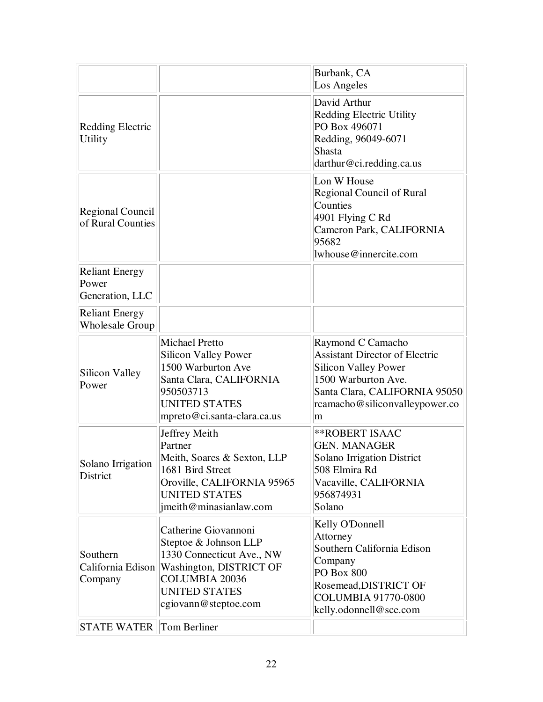|                                                   |                                                                                                                                                                                | Burbank, CA<br>Los Angeles                                                                                                                                                               |
|---------------------------------------------------|--------------------------------------------------------------------------------------------------------------------------------------------------------------------------------|------------------------------------------------------------------------------------------------------------------------------------------------------------------------------------------|
| <b>Redding Electric</b><br><b>Utility</b>         |                                                                                                                                                                                | David Arthur<br>Redding Electric Utility<br>PO Box 496071<br>Redding, 96049-6071<br><b>Shasta</b><br>darthur@ci.redding.ca.us                                                            |
| <b>Regional Council</b><br>of Rural Counties      |                                                                                                                                                                                | Lon W House<br>Regional Council of Rural<br>Counties<br>4901 Flying C Rd<br>Cameron Park, CALIFORNIA<br>95682<br>lwhouse@innercite.com                                                   |
| <b>Reliant Energy</b><br>Power<br>Generation, LLC |                                                                                                                                                                                |                                                                                                                                                                                          |
| <b>Reliant Energy</b><br><b>Wholesale Group</b>   |                                                                                                                                                                                |                                                                                                                                                                                          |
| Silicon Valley<br>Power                           | <b>Michael Pretto</b><br><b>Silicon Valley Power</b><br>1500 Warburton Ave<br>Santa Clara, CALIFORNIA<br>950503713<br><b>UNITED STATES</b><br>mpreto@ci.santa-clara.ca.us      | Raymond C Camacho<br><b>Assistant Director of Electric</b><br><b>Silicon Valley Power</b><br>1500 Warburton Ave.<br>Santa Clara, CALIFORNIA 95050<br>rcamacho@siliconvalleypower.co<br>m |
| Solano Irrigation<br>District                     | Jeffrey Meith<br>Partner<br>Meith, Soares & Sexton, LLP<br>1681 Bird Street<br>Oroville, CALIFORNIA 95965<br><b>UNITED STATES</b><br>jmeith@minasianlaw.com                    | <b>**ROBERT ISAAC</b><br><b>GEN. MANAGER</b><br><b>Solano Irrigation District</b><br>508 Elmira Rd<br>Vacaville, CALIFORNIA<br>956874931<br>Solano                                       |
| Southern<br>California Edison<br>Company          | Catherine Giovannoni<br>Steptoe & Johnson LLP<br>1330 Connecticut Ave., NW<br>Washington, DISTRICT OF<br><b>COLUMBIA 20036</b><br><b>UNITED STATES</b><br>cgiovann@steptoe.com | Kelly O'Donnell<br>Attorney<br>Southern California Edison<br>Company<br>PO Box 800<br>Rosemead, DISTRICT OF<br><b>COLUMBIA 91770-0800</b><br>kelly.odonnell@sce.com                      |
| <b>STATE WATER Tom Berliner</b>                   |                                                                                                                                                                                |                                                                                                                                                                                          |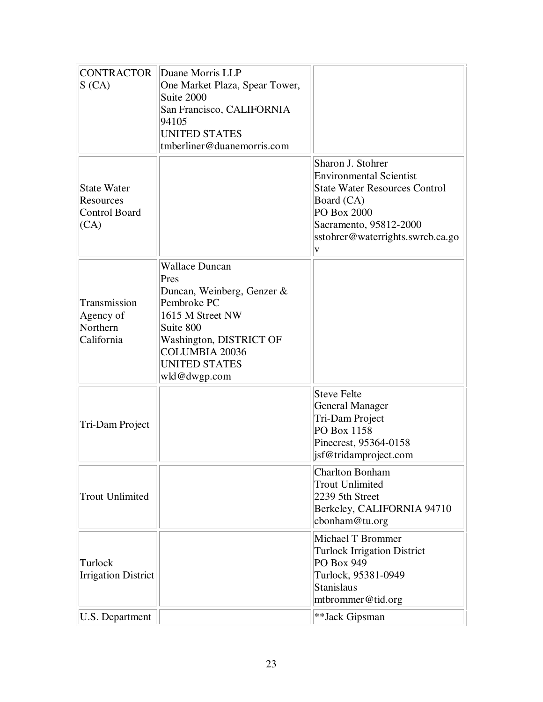| <b>CONTRACTOR</b><br>S(CA)                                      | Duane Morris LLP<br>One Market Plaza, Spear Tower,<br>Suite 2000<br>San Francisco, CALIFORNIA<br>94105<br><b>UNITED STATES</b><br>tmberliner@duanemorris.com                                            |                                                                                                                                                                                             |
|-----------------------------------------------------------------|---------------------------------------------------------------------------------------------------------------------------------------------------------------------------------------------------------|---------------------------------------------------------------------------------------------------------------------------------------------------------------------------------------------|
| <b>State Water</b><br>Resources<br><b>Control Board</b><br>(CA) |                                                                                                                                                                                                         | Sharon J. Stohrer<br><b>Environmental Scientist</b><br><b>State Water Resources Control</b><br>Board (CA)<br>PO Box 2000<br>Sacramento, 95812-2000<br>sstohrer@waterrights.swrcb.ca.go<br>V |
| Transmission<br>Agency of<br>Northern<br>California             | <b>Wallace Duncan</b><br>Pres<br>Duncan, Weinberg, Genzer &<br>Pembroke PC<br>1615 M Street NW<br>Suite 800<br>Washington, DISTRICT OF<br><b>COLUMBIA 20036</b><br><b>UNITED STATES</b><br>wld@dwgp.com |                                                                                                                                                                                             |
| Tri-Dam Project                                                 |                                                                                                                                                                                                         | <b>Steve Felte</b><br><b>General Manager</b><br>Tri-Dam Project<br>PO Box 1158<br>Pinecrest, 95364-0158<br>jsf@tridamproject.com                                                            |
| <b>Trout Unlimited</b>                                          |                                                                                                                                                                                                         | <b>Charlton Bonham</b><br><b>Trout Unlimited</b><br>2239 5th Street<br>Berkeley, CALIFORNIA 94710<br>cbonham@tu.org                                                                         |
| Turlock<br><b>Irrigation District</b>                           |                                                                                                                                                                                                         | <b>Michael T Brommer</b><br><b>Turlock Irrigation District</b><br>PO Box 949<br>Turlock, 95381-0949<br><b>Stanislaus</b><br>mtbrommer@tid.org                                               |
| U.S. Department                                                 |                                                                                                                                                                                                         | **Jack Gipsman                                                                                                                                                                              |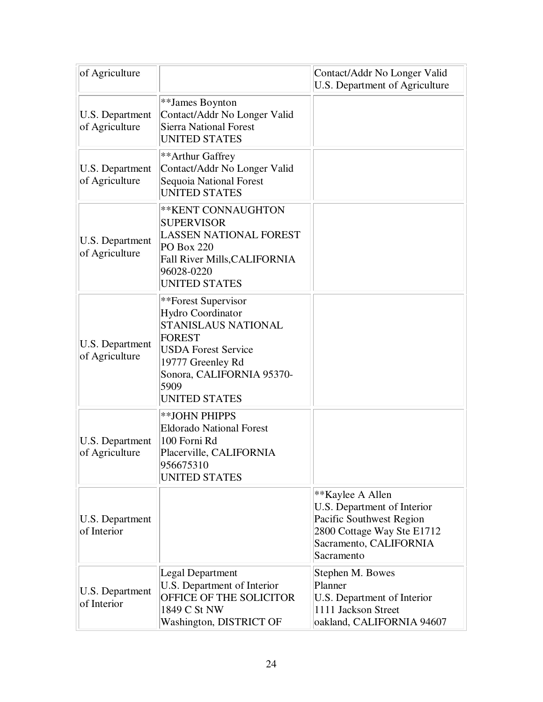| of Agriculture                           |                                                                                                                                                                                                  | Contact/Addr No Longer Valid<br>U.S. Department of Agriculture                                                                                    |
|------------------------------------------|--------------------------------------------------------------------------------------------------------------------------------------------------------------------------------------------------|---------------------------------------------------------------------------------------------------------------------------------------------------|
| U.S. Department<br>of Agriculture        | **James Boynton<br>Contact/Addr No Longer Valid<br><b>Sierra National Forest</b><br><b>UNITED STATES</b>                                                                                         |                                                                                                                                                   |
| <b>U.S. Department</b><br>of Agriculture | **Arthur Gaffrey<br>Contact/Addr No Longer Valid<br>Sequoia National Forest<br><b>UNITED STATES</b>                                                                                              |                                                                                                                                                   |
| <b>U.S. Department</b><br>of Agriculture | ** KENT CONNAUGHTON<br><b>SUPERVISOR</b><br><b>LASSEN NATIONAL FOREST</b><br><b>PO Box 220</b><br>Fall River Mills, CALIFORNIA<br>96028-0220<br><b>UNITED STATES</b>                             |                                                                                                                                                   |
| U.S. Department<br>of Agriculture        | **Forest Supervisor<br>Hydro Coordinator<br>STANISLAUS NATIONAL<br><b>FOREST</b><br><b>USDA Forest Service</b><br>19777 Greenley Rd<br>Sonora, CALIFORNIA 95370-<br>5909<br><b>UNITED STATES</b> |                                                                                                                                                   |
| U.S. Department<br>of Agriculture        | **JOHN PHIPPS<br><b>Eldorado National Forest</b><br>100 Forni Rd<br>Placerville, CALIFORNIA<br>956675310<br><b>UNITED STATES</b>                                                                 |                                                                                                                                                   |
| U.S. Department<br>of Interior           |                                                                                                                                                                                                  | **Kaylee A Allen<br>U.S. Department of Interior<br>Pacific Southwest Region<br>2800 Cottage Way Ste E1712<br>Sacramento, CALIFORNIA<br>Sacramento |
| U.S. Department<br>of Interior           | Legal Department<br>U.S. Department of Interior<br>OFFICE OF THE SOLICITOR<br>1849 C St NW<br>Washington, DISTRICT OF                                                                            | Stephen M. Bowes<br>Planner<br>U.S. Department of Interior<br>1111 Jackson Street<br>oakland, CALIFORNIA 94607                                    |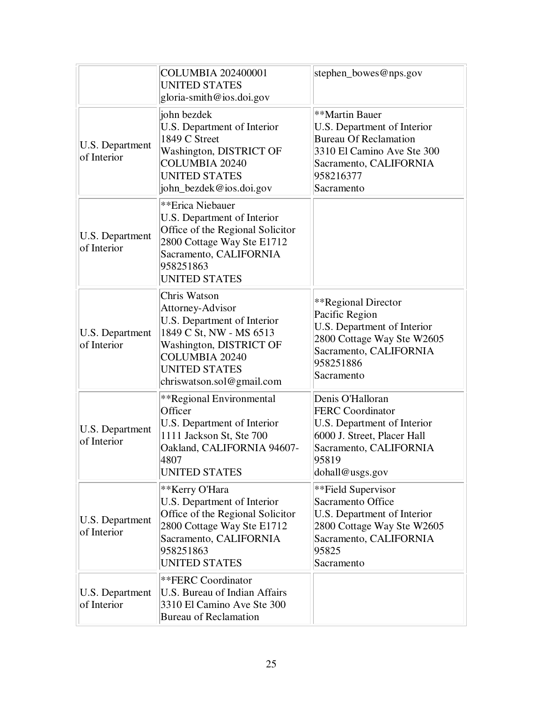|                                | <b>COLUMBIA 202400001</b><br><b>UNITED STATES</b><br>gloria-smith@ios.doi.gov                                                                                                                       | stephen_bowes@nps.gov                                                                                                                                            |
|--------------------------------|-----------------------------------------------------------------------------------------------------------------------------------------------------------------------------------------------------|------------------------------------------------------------------------------------------------------------------------------------------------------------------|
| U.S. Department<br>of Interior | john bezdek<br>U.S. Department of Interior<br>1849 C Street<br>Washington, DISTRICT OF<br><b>COLUMBIA 20240</b><br><b>UNITED STATES</b><br>john_bezdek@ios.doi.gov                                  | **Martin Bauer<br>U.S. Department of Interior<br><b>Bureau Of Reclamation</b><br>3310 El Camino Ave Ste 300<br>Sacramento, CALIFORNIA<br>958216377<br>Sacramento |
| U.S. Department<br>of Interior | **Erica Niebauer<br>U.S. Department of Interior<br>Office of the Regional Solicitor<br>2800 Cottage Way Ste E1712<br>Sacramento, CALIFORNIA<br>958251863<br><b>UNITED STATES</b>                    |                                                                                                                                                                  |
| U.S. Department<br>of Interior | Chris Watson<br>Attorney-Advisor<br>U.S. Department of Interior<br>1849 C St, NW - MS 6513<br>Washington, DISTRICT OF<br><b>COLUMBIA 20240</b><br><b>UNITED STATES</b><br>chriswatson.sol@gmail.com | **Regional Director<br>Pacific Region<br>U.S. Department of Interior<br>2800 Cottage Way Ste W2605<br>Sacramento, CALIFORNIA<br>958251886<br>Sacramento          |
| U.S. Department<br>of Interior | **Regional Environmental<br>Officer<br>U.S. Department of Interior<br>1111 Jackson St, Ste 700<br>Oakland, CALIFORNIA 94607-<br>4807<br>UNITED STATES                                               | Denis O'Halloran<br><b>FERC</b> Coordinator<br>U.S. Department of Interior<br>6000 J. Street, Placer Hall<br>Sacramento, CALIFORNIA<br>95819<br>dohall@usgs.gov  |
| U.S. Department<br>of Interior | **Kerry O'Hara<br>U.S. Department of Interior<br>Office of the Regional Solicitor<br>2800 Cottage Way Ste E1712<br>Sacramento, CALIFORNIA<br>958251863<br>UNITED STATES                             | **Field Supervisor<br>Sacramento Office<br>U.S. Department of Interior<br>2800 Cottage Way Ste W2605<br>Sacramento, CALIFORNIA<br>95825<br>Sacramento            |
| U.S. Department<br>of Interior | **FERC Coordinator<br>U.S. Bureau of Indian Affairs<br>3310 El Camino Ave Ste 300<br><b>Bureau of Reclamation</b>                                                                                   |                                                                                                                                                                  |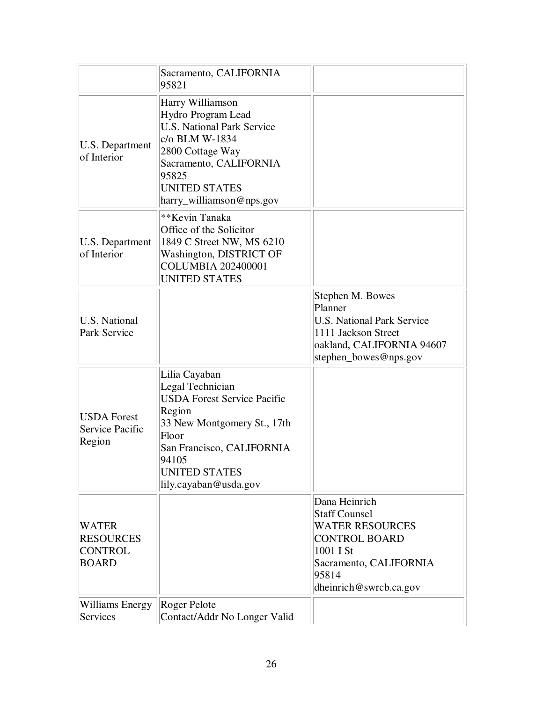|                                                                    | Sacramento, CALIFORNIA<br>95821                                                                                                                                                                                  |                                                                                                                                                                   |
|--------------------------------------------------------------------|------------------------------------------------------------------------------------------------------------------------------------------------------------------------------------------------------------------|-------------------------------------------------------------------------------------------------------------------------------------------------------------------|
| U.S. Department<br>of Interior                                     | Harry Williamson<br>Hydro Program Lead<br><b>U.S. National Park Service</b><br>c/o BLM W-1834<br>2800 Cottage Way<br>Sacramento, CALIFORNIA<br>95825<br><b>UNITED STATES</b><br>harry_williamson@nps.gov         |                                                                                                                                                                   |
| U.S. Department<br>of Interior                                     | **Kevin Tanaka<br>Office of the Solicitor<br>1849 C Street NW, MS 6210<br>Washington, DISTRICT OF<br><b>COLUMBIA 202400001</b><br><b>UNITED STATES</b>                                                           |                                                                                                                                                                   |
| <b>U.S. National</b><br>Park Service                               |                                                                                                                                                                                                                  | Stephen M. Bowes<br>Planner<br><b>U.S. National Park Service</b><br>1111 Jackson Street<br>oakland, CALIFORNIA 94607<br>stephen_bowes@nps.gov                     |
| <b>USDA</b> Forest<br><b>Service Pacific</b><br>Region             | Lilia Cayaban<br>Legal Technician<br><b>USDA Forest Service Pacific</b><br>Region<br>33 New Montgomery St., 17th<br>Floor<br>San Francisco, CALIFORNIA<br>94105<br><b>UNITED STATES</b><br>lily.cayaban@usda.gov |                                                                                                                                                                   |
| <b>WATER</b><br><b>RESOURCES</b><br><b>CONTROL</b><br><b>BOARD</b> |                                                                                                                                                                                                                  | Dana Heinrich<br><b>Staff Counsel</b><br><b>WATER RESOURCES</b><br><b>CONTROL BOARD</b><br>1001 I St<br>Sacramento, CALIFORNIA<br>95814<br>dheinrich@swrcb.ca.gov |
| Williams Energy<br><b>Services</b>                                 | Roger Pelote<br>Contact/Addr No Longer Valid                                                                                                                                                                     |                                                                                                                                                                   |